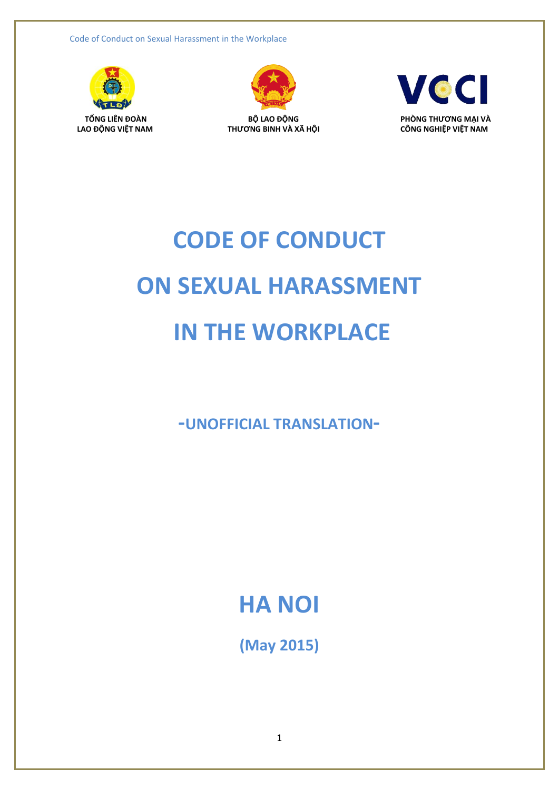Code of Conduct on Sexual Harassment in the Workplace





 $THU'ONG$  BINH VÀ XÃ HÔI



# **CODE OF CONDUCT ON SEXUAL HARASSMENT IN THE WORKPLACE**

**-UNOFFICIAL TRANSLATION-**

# **HA NOI**

**(May 2015)**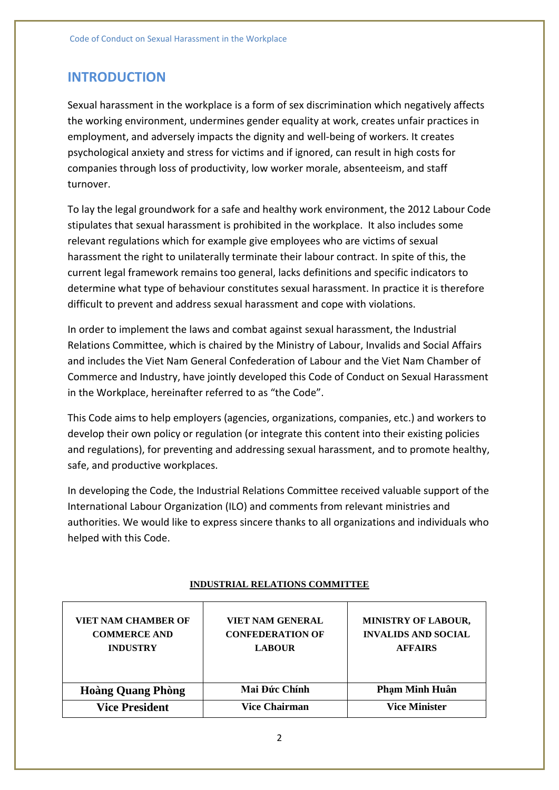## **INTRODUCTION**

Sexual harassment in the workplace is a form of sex discrimination which negatively affects the working environment, undermines gender equality at work, creates unfair practices in employment, and adversely impacts the dignity and well-being of workers. It creates psychological anxiety and stress for victims and if ignored, can result in high costs for companies through loss of productivity, low worker morale, absenteeism, and staff turnover.

To lay the legal groundwork for a safe and healthy work environment, the 2012 Labour Code stipulates that sexual harassment is prohibited in the workplace. It also includes some relevant regulations which for example give employees who are victims of sexual harassment the right to unilaterally terminate their labour contract. In spite of this, the current legal framework remains too general, lacks definitions and specific indicators to determine what type of behaviour constitutes sexual harassment. In practice it is therefore difficult to prevent and address sexual harassment and cope with violations.

In order to implement the laws and combat against sexual harassment, the Industrial Relations Committee, which is chaired by the Ministry of Labour, Invalids and Social Affairs and includes the Viet Nam General Confederation of Labour and the Viet Nam Chamber of Commerce and Industry, have jointly developed this Code of Conduct on Sexual Harassment in the Workplace, hereinafter referred to as "the Code".

This Code aims to help employers (agencies, organizations, companies, etc.) and workers to develop their own policy or regulation (or integrate this content into their existing policies and regulations), for preventing and addressing sexual harassment, and to promote healthy, safe, and productive workplaces.

In developing the Code, the Industrial Relations Committee received valuable support of the International Labour Organization (ILO) and comments from relevant ministries and authorities. We would like to express sincere thanks to all organizations and individuals who helped with this Code.

| <b>VIET NAM CHAMBER OF</b><br><b>COMMERCE AND</b><br><b>INDUSTRY</b> | VIET NAM GENERAL<br><b>CONFEDERATION OF</b><br><b>LABOUR</b> | <b>MINISTRY OF LABOUR,</b><br><b>INVALIDS AND SOCIAL</b><br><b>AFFAIRS</b> |
|----------------------------------------------------------------------|--------------------------------------------------------------|----------------------------------------------------------------------------|
| <b>Hoàng Quang Phòng</b>                                             | Mai Đức Chính                                                | <b>Pham Minh Huân</b>                                                      |
| <b>Vice President</b>                                                | <b>Vice Chairman</b>                                         | <b>Vice Minister</b>                                                       |

**INDUSTRIAL RELATIONS COMMITTEE**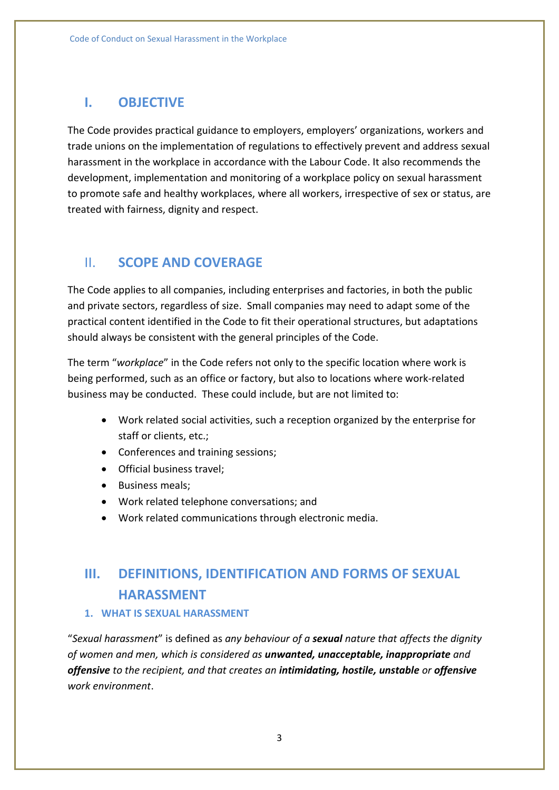## **I. OBJECTIVE**

The Code provides practical guidance to employers, employers' organizations, workers and trade unions on the implementation of regulations to effectively prevent and address sexual harassment in the workplace in accordance with the Labour Code. It also recommends the development, implementation and monitoring of a workplace policy on sexual harassment to promote safe and healthy workplaces, where all workers, irrespective of sex or status, are treated with fairness, dignity and respect.

# II. **SCOPE AND COVERAGE**

The Code applies to all companies, including enterprises and factories, in both the public and private sectors, regardless of size. Small companies may need to adapt some of the practical content identified in the Code to fit their operational structures, but adaptations should always be consistent with the general principles of the Code.

The term "*workplace*" in the Code refers not only to the specific location where work is being performed, such as an office or factory, but also to locations where work-related business may be conducted. These could include, but are not limited to:

- Work related social activities, such a reception organized by the enterprise for staff or clients, etc.;
- Conferences and training sessions;
- Official business travel;
- Business meals;
- Work related telephone conversations; and
- Work related communications through electronic media.

# **III. DEFINITIONS, IDENTIFICATION AND FORMS OF SEXUAL HARASSMENT**

#### **1. WHAT IS SEXUAL HARASSMENT**

"*Sexual harassment*" is defined as *any behaviour of a sexual nature that affects the dignity of women and men, which is considered as unwanted, unacceptable, inappropriate and offensive to the recipient, and that creates an intimidating, hostile, unstable or offensive work environment*.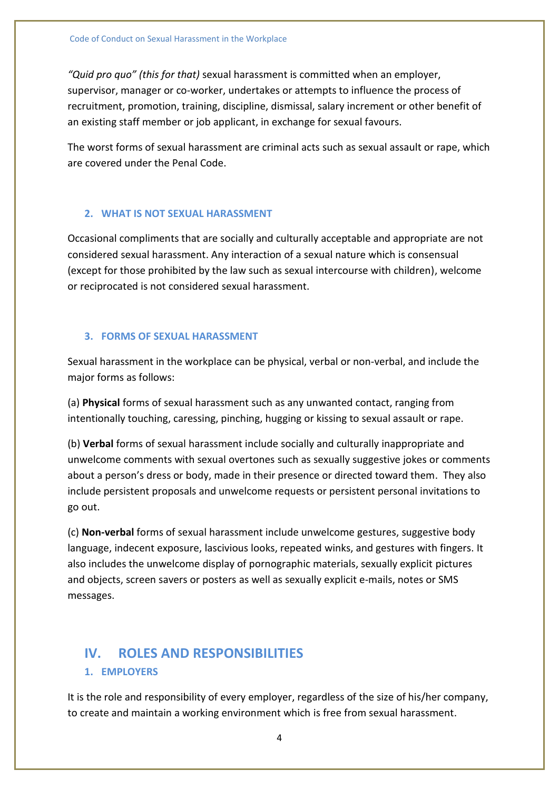*"Quid pro quo" (this for that)* sexual harassment is committed when an employer, supervisor, manager or co-worker, undertakes or attempts to influence the process of recruitment, promotion, training, discipline, dismissal, salary increment or other benefit of an existing staff member or job applicant, in exchange for sexual favours.

The worst forms of sexual harassment are criminal acts such as sexual assault or rape, which are covered under the Penal Code.

#### **2. WHAT IS NOT SEXUAL HARASSMENT**

Occasional compliments that are socially and culturally acceptable and appropriate are not considered sexual harassment. Any interaction of a sexual nature which is consensual (except for those prohibited by the law such as sexual intercourse with children), welcome or reciprocated is not considered sexual harassment.

#### **3. FORMS OF SEXUAL HARASSMENT**

Sexual harassment in the workplace can be physical, verbal or non-verbal, and include the major forms as follows:

(a) **Physical** forms of sexual harassment such as any unwanted contact, ranging from intentionally touching, caressing, pinching, hugging or kissing to sexual assault or rape.

(b) **Verbal** forms of sexual harassment include socially and culturally inappropriate and unwelcome comments with sexual overtones such as sexually suggestive jokes or comments about a person's dress or body, made in their presence or directed toward them. They also include persistent proposals and unwelcome requests or persistent personal invitations to go out.

(c) **Non-verbal** forms of sexual harassment include unwelcome gestures, suggestive body language, indecent exposure, lascivious looks, repeated winks, and gestures with fingers. It also includes the unwelcome display of pornographic materials, sexually explicit pictures and objects, screen savers or posters as well as sexually explicit e-mails, notes or SMS messages.

# **IV. ROLES AND RESPONSIBILITIES**

#### **1. EMPLOYERS**

It is the role and responsibility of every employer, regardless of the size of his/her company, to create and maintain a working environment which is free from sexual harassment.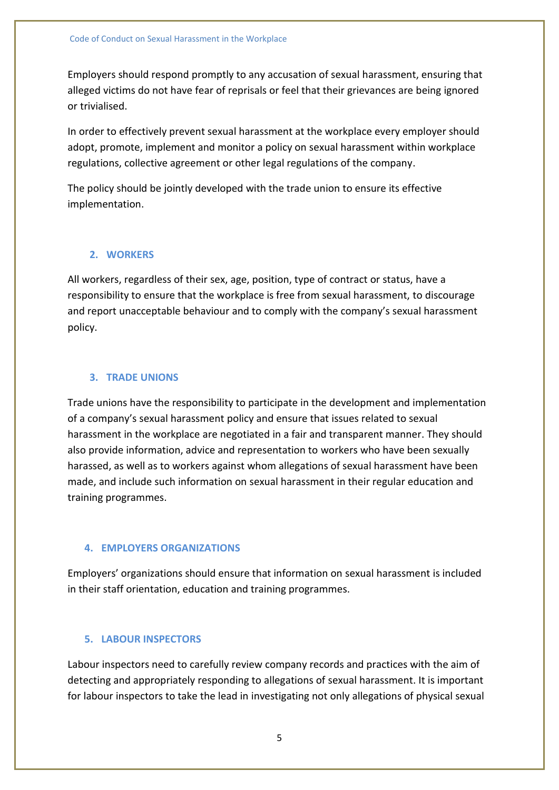Employers should respond promptly to any accusation of sexual harassment, ensuring that alleged victims do not have fear of reprisals or feel that their grievances are being ignored or trivialised.

In order to effectively prevent sexual harassment at the workplace every employer should adopt, promote, implement and monitor a policy on sexual harassment within workplace regulations, collective agreement or other legal regulations of the company.

The policy should be jointly developed with the trade union to ensure its effective implementation.

#### **2. WORKERS**

All workers, regardless of their sex, age, position, type of contract or status, have a responsibility to ensure that the workplace is free from sexual harassment, to discourage and report unacceptable behaviour and to comply with the company's sexual harassment policy.

#### **3. TRADE UNIONS**

Trade unions have the responsibility to participate in the development and implementation of a company's sexual harassment policy and ensure that issues related to sexual harassment in the workplace are negotiated in a fair and transparent manner. They should also provide information, advice and representation to workers who have been sexually harassed, as well as to workers against whom allegations of sexual harassment have been made, and include such information on sexual harassment in their regular education and training programmes.

#### **4. EMPLOYERS ORGANIZATIONS**

Employers' organizations should ensure that information on sexual harassment is included in their staff orientation, education and training programmes.

#### **5. LABOUR INSPECTORS**

Labour inspectors need to carefully review company records and practices with the aim of detecting and appropriately responding to allegations of sexual harassment. It is important for labour inspectors to take the lead in investigating not only allegations of physical sexual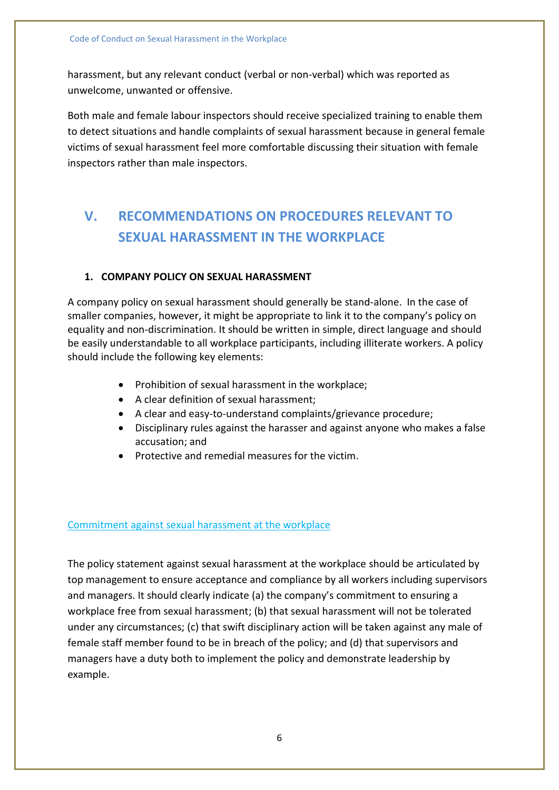harassment, but any relevant conduct (verbal or non-verbal) which was reported as unwelcome, unwanted or offensive.

Both male and female labour inspectors should receive specialized training to enable them to detect situations and handle complaints of sexual harassment because in general female victims of sexual harassment feel more comfortable discussing their situation with female inspectors rather than male inspectors.

# **V. RECOMMENDATIONS ON PROCEDURES RELEVANT TO SEXUAL HARASSMENT IN THE WORKPLACE**

#### **1. COMPANY POLICY ON SEXUAL HARASSMENT**

A company policy on sexual harassment should generally be stand-alone. In the case of smaller companies, however, it might be appropriate to link it to the company's policy on equality and non-discrimination. It should be written in simple, direct language and should be easily understandable to all workplace participants, including illiterate workers. A policy should include the following key elements:

- Prohibition of sexual harassment in the workplace;
- A clear definition of sexual harassment;
- A clear and easy-to-understand complaints/grievance procedure;
- Disciplinary rules against the harasser and against anyone who makes a false accusation; and
- Protective and remedial measures for the victim.

#### Commitment against sexual harassment at the workplace

The policy statement against sexual harassment at the workplace should be articulated by top management to ensure acceptance and compliance by all workers including supervisors and managers. It should clearly indicate (a) the company's commitment to ensuring a workplace free from sexual harassment; (b) that sexual harassment will not be tolerated under any circumstances; (c) that swift disciplinary action will be taken against any male of female staff member found to be in breach of the policy; and (d) that supervisors and managers have a duty both to implement the policy and demonstrate leadership by example.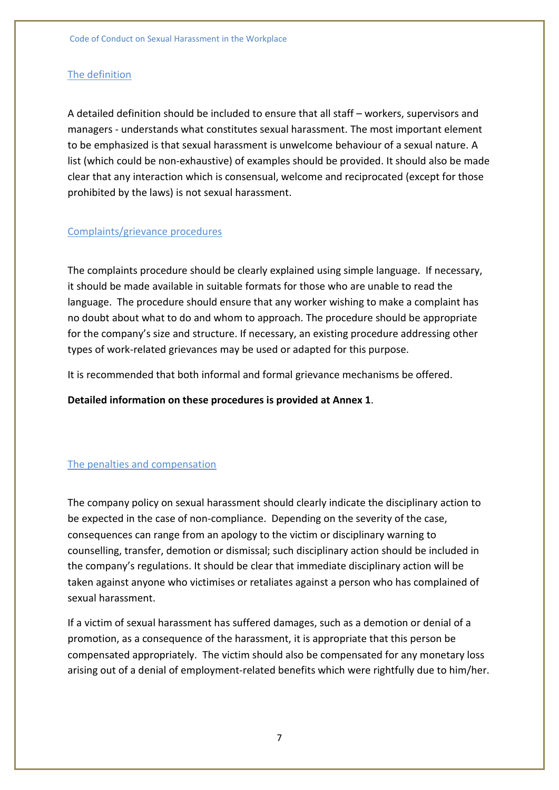#### The definition

A detailed definition should be included to ensure that all staff – workers, supervisors and managers - understands what constitutes sexual harassment. The most important element to be emphasized is that sexual harassment is unwelcome behaviour of a sexual nature. A list (which could be non-exhaustive) of examples should be provided. It should also be made clear that any interaction which is consensual, welcome and reciprocated (except for those prohibited by the laws) is not sexual harassment.

#### Complaints/grievance procedures

The complaints procedure should be clearly explained using simple language. If necessary, it should be made available in suitable formats for those who are unable to read the language. The procedure should ensure that any worker wishing to make a complaint has no doubt about what to do and whom to approach. The procedure should be appropriate for the company's size and structure. If necessary, an existing procedure addressing other types of work-related grievances may be used or adapted for this purpose.

It is recommended that both informal and formal grievance mechanisms be offered.

**Detailed information on these procedures is provided at Annex 1**.

#### The penalties and compensation

The company policy on sexual harassment should clearly indicate the disciplinary action to be expected in the case of non-compliance. Depending on the severity of the case, consequences can range from an apology to the victim or disciplinary warning to counselling, transfer, demotion or dismissal; such disciplinary action should be included in the company's regulations. It should be clear that immediate disciplinary action will be taken against anyone who victimises or retaliates against a person who has complained of sexual harassment.

If a victim of sexual harassment has suffered damages, such as a demotion or denial of a promotion, as a consequence of the harassment, it is appropriate that this person be compensated appropriately. The victim should also be compensated for any monetary loss arising out of a denial of employment-related benefits which were rightfully due to him/her.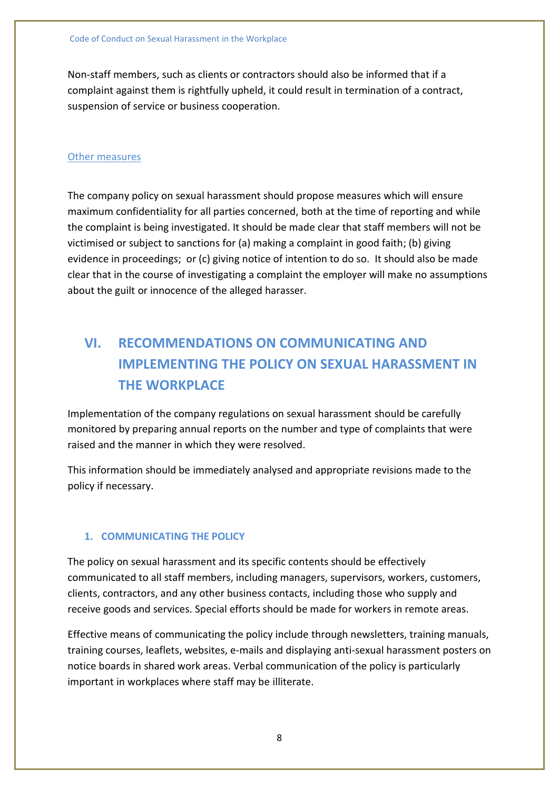Non-staff members, such as clients or contractors should also be informed that if a complaint against them is rightfully upheld, it could result in termination of a contract, suspension of service or business cooperation.

#### Other measures

The company policy on sexual harassment should propose measures which will ensure maximum confidentiality for all parties concerned, both at the time of reporting and while the complaint is being investigated. It should be made clear that staff members will not be victimised or subject to sanctions for (a) making a complaint in good faith; (b) giving evidence in proceedings; or (c) giving notice of intention to do so. It should also be made clear that in the course of investigating a complaint the employer will make no assumptions about the guilt or innocence of the alleged harasser.

# **VI. RECOMMENDATIONS ON COMMUNICATING AND IMPLEMENTING THE POLICY ON SEXUAL HARASSMENT IN THE WORKPLACE**

Implementation of the company regulations on sexual harassment should be carefully monitored by preparing annual reports on the number and type of complaints that were raised and the manner in which they were resolved.

This information should be immediately analysed and appropriate revisions made to the policy if necessary.

#### **1. COMMUNICATING THE POLICY**

The policy on sexual harassment and its specific contents should be effectively communicated to all staff members, including managers, supervisors, workers, customers, clients, contractors, and any other business contacts, including those who supply and receive goods and services. Special efforts should be made for workers in remote areas.

Effective means of communicating the policy include through newsletters, training manuals, training courses, leaflets, websites, e-mails and displaying anti-sexual harassment posters on notice boards in shared work areas. Verbal communication of the policy is particularly important in workplaces where staff may be illiterate.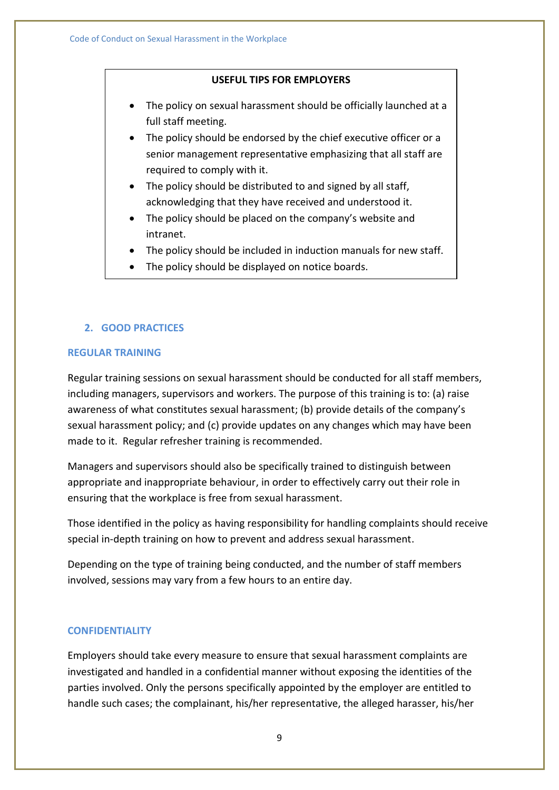#### **USEFUL TIPS FOR EMPLOYERS**

- The policy on sexual harassment should be officially launched at a full staff meeting.
- The policy should be endorsed by the chief executive officer or a senior management representative emphasizing that all staff are required to comply with it.
- The policy should be distributed to and signed by all staff, acknowledging that they have received and understood it.
- The policy should be placed on the company's website and intranet.
- The policy should be included in induction manuals for new staff.
- The policy should be displayed on notice boards.

#### **2. GOOD PRACTICES**

#### **REGULAR TRAINING**

Regular training sessions on sexual harassment should be conducted for all staff members, including managers, supervisors and workers. The purpose of this training is to: (a) raise awareness of what constitutes sexual harassment; (b) provide details of the company's sexual harassment policy; and (c) provide updates on any changes which may have been made to it. Regular refresher training is recommended.

Managers and supervisors should also be specifically trained to distinguish between appropriate and inappropriate behaviour, in order to effectively carry out their role in ensuring that the workplace is free from sexual harassment.

Those identified in the policy as having responsibility for handling complaints should receive special in-depth training on how to prevent and address sexual harassment.

Depending on the type of training being conducted, and the number of staff members involved, sessions may vary from a few hours to an entire day.

#### **CONFIDENTIALITY**

Employers should take every measure to ensure that sexual harassment complaints are investigated and handled in a confidential manner without exposing the identities of the parties involved. Only the persons specifically appointed by the employer are entitled to handle such cases; the complainant, his/her representative, the alleged harasser, his/her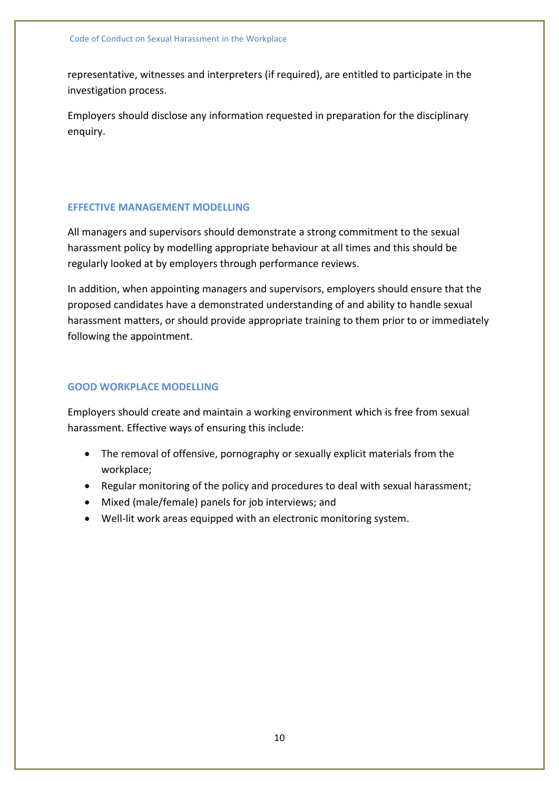representative, witnesses and interpreters (if required), are entitled to participate in the investigation process.

Employers should disclose any information requested in preparation for the disciplinary enquiry.

#### **EFFECTIVE MANAGEMENT MODELLING**

All managers and supervisors should demonstrate a strong commitment to the sexual harassment policy by modelling appropriate behaviour at all times and this should be regularly looked at by employers through performance reviews.

In addition, when appointing managers and supervisors, employers should ensure that the proposed candidates have a demonstrated understanding of and ability to handle sexual harassment matters, or should provide appropriate training to them prior to or immediately following the appointment.

#### **GOOD WORKPLACE MODELLING**

Employers should create and maintain a working environment which is free from sexual harassment. Effective ways of ensuring this include:

- The removal of offensive, pornography or sexually explicit materials from the workplace;
- Regular monitoring of the policy and procedures to deal with sexual harassment;
- Mixed (male/female) panels for job interviews; and
- Well-lit work areas equipped with an electronic monitoring system.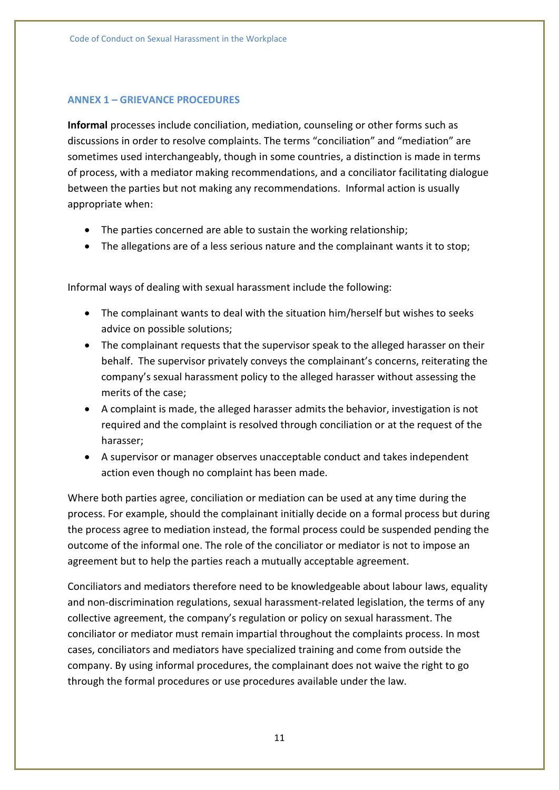#### **ANNEX 1 – GRIEVANCE PROCEDURES**

**Informal** processes include conciliation, mediation, counseling or other forms such as discussions in order to resolve complaints. The terms "conciliation" and "mediation" are sometimes used interchangeably, though in some countries, a distinction is made in terms of process, with a mediator making recommendations, and a conciliator facilitating dialogue between the parties but not making any recommendations. Informal action is usually appropriate when:

- The parties concerned are able to sustain the working relationship;
- The allegations are of a less serious nature and the complainant wants it to stop;

Informal ways of dealing with sexual harassment include the following:

- The complainant wants to deal with the situation him/herself but wishes to seeks advice on possible solutions;
- The complainant requests that the supervisor speak to the alleged harasser on their behalf. The supervisor privately conveys the complainant's concerns, reiterating the company's sexual harassment policy to the alleged harasser without assessing the merits of the case;
- A complaint is made, the alleged harasser admits the behavior, investigation is not required and the complaint is resolved through conciliation or at the request of the harasser;
- A supervisor or manager observes unacceptable conduct and takes independent action even though no complaint has been made.

Where both parties agree, conciliation or mediation can be used at any time during the process. For example, should the complainant initially decide on a formal process but during the process agree to mediation instead, the formal process could be suspended pending the outcome of the informal one. The role of the conciliator or mediator is not to impose an agreement but to help the parties reach a mutually acceptable agreement.

Conciliators and mediators therefore need to be knowledgeable about labour laws, equality and non-discrimination regulations, sexual harassment-related legislation, the terms of any collective agreement, the company's regulation or policy on sexual harassment. The conciliator or mediator must remain impartial throughout the complaints process. In most cases, conciliators and mediators have specialized training and come from outside the company. By using informal procedures, the complainant does not waive the right to go through the formal procedures or use procedures available under the law.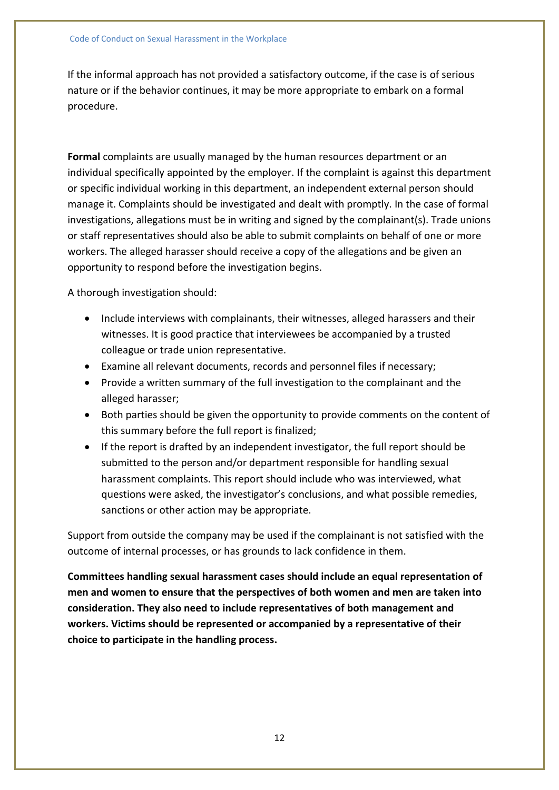If the informal approach has not provided a satisfactory outcome, if the case is of serious nature or if the behavior continues, it may be more appropriate to embark on a formal procedure.

**Formal** complaints are usually managed by the human resources department or an individual specifically appointed by the employer. If the complaint is against this department or specific individual working in this department, an independent external person should manage it. Complaints should be investigated and dealt with promptly. In the case of formal investigations, allegations must be in writing and signed by the complainant(s). Trade unions or staff representatives should also be able to submit complaints on behalf of one or more workers. The alleged harasser should receive a copy of the allegations and be given an opportunity to respond before the investigation begins.

A thorough investigation should:

- Include interviews with complainants, their witnesses, alleged harassers and their witnesses. It is good practice that interviewees be accompanied by a trusted colleague or trade union representative.
- Examine all relevant documents, records and personnel files if necessary;
- Provide a written summary of the full investigation to the complainant and the alleged harasser;
- Both parties should be given the opportunity to provide comments on the content of this summary before the full report is finalized;
- If the report is drafted by an independent investigator, the full report should be submitted to the person and/or department responsible for handling sexual harassment complaints. This report should include who was interviewed, what questions were asked, the investigator's conclusions, and what possible remedies, sanctions or other action may be appropriate.

Support from outside the company may be used if the complainant is not satisfied with the outcome of internal processes, or has grounds to lack confidence in them.

**Committees handling sexual harassment cases should include an equal representation of men and women to ensure that the perspectives of both women and men are taken into consideration. They also need to include representatives of both management and workers. Victims should be represented or accompanied by a representative of their choice to participate in the handling process.**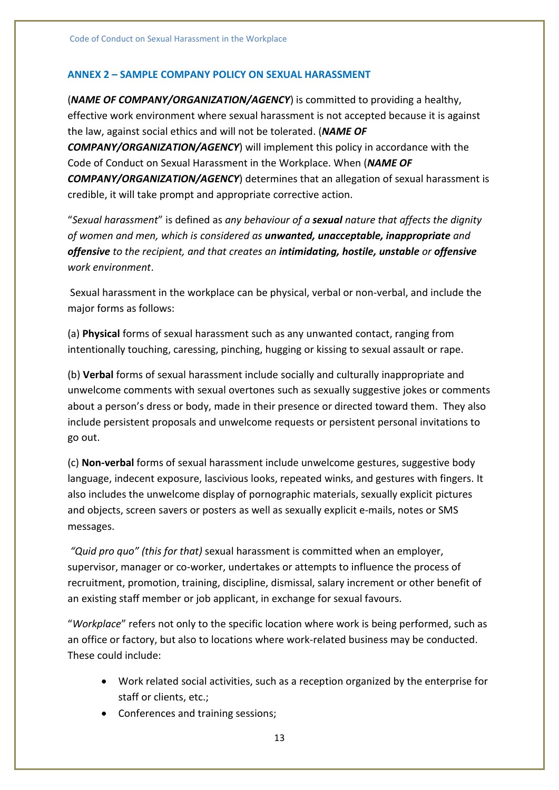#### **ANNEX 2 – SAMPLE COMPANY POLICY ON SEXUAL HARASSMENT**

(*NAME OF COMPANY/ORGANIZATION/AGENCY*) is committed to providing a healthy, effective work environment where sexual harassment is not accepted because it is against the law, against social ethics and will not be tolerated. (*NAME OF COMPANY/ORGANIZATION/AGENCY*) will implement this policy in accordance with the Code of Conduct on Sexual Harassment in the Workplace. When (*NAME OF COMPANY/ORGANIZATION/AGENCY*) determines that an allegation of sexual harassment is credible, it will take prompt and appropriate corrective action.

"*Sexual harassment*" is defined as *any behaviour of a sexual nature that affects the dignity of women and men, which is considered as unwanted, unacceptable, inappropriate and offensive to the recipient, and that creates an intimidating, hostile, unstable or offensive work environment*.

Sexual harassment in the workplace can be physical, verbal or non-verbal, and include the major forms as follows:

(a) **Physical** forms of sexual harassment such as any unwanted contact, ranging from intentionally touching, caressing, pinching, hugging or kissing to sexual assault or rape.

(b) **Verbal** forms of sexual harassment include socially and culturally inappropriate and unwelcome comments with sexual overtones such as sexually suggestive jokes or comments about a person's dress or body, made in their presence or directed toward them. They also include persistent proposals and unwelcome requests or persistent personal invitations to go out.

(c) **Non-verbal** forms of sexual harassment include unwelcome gestures, suggestive body language, indecent exposure, lascivious looks, repeated winks, and gestures with fingers. It also includes the unwelcome display of pornographic materials, sexually explicit pictures and objects, screen savers or posters as well as sexually explicit e-mails, notes or SMS messages.

*"Quid pro quo" (this for that)* sexual harassment is committed when an employer, supervisor, manager or co-worker, undertakes or attempts to influence the process of recruitment, promotion, training, discipline, dismissal, salary increment or other benefit of an existing staff member or job applicant, in exchange for sexual favours.

"*Workplace*" refers not only to the specific location where work is being performed, such as an office or factory, but also to locations where work-related business may be conducted. These could include:

- Work related social activities, such as a reception organized by the enterprise for staff or clients, etc.;
- Conferences and training sessions;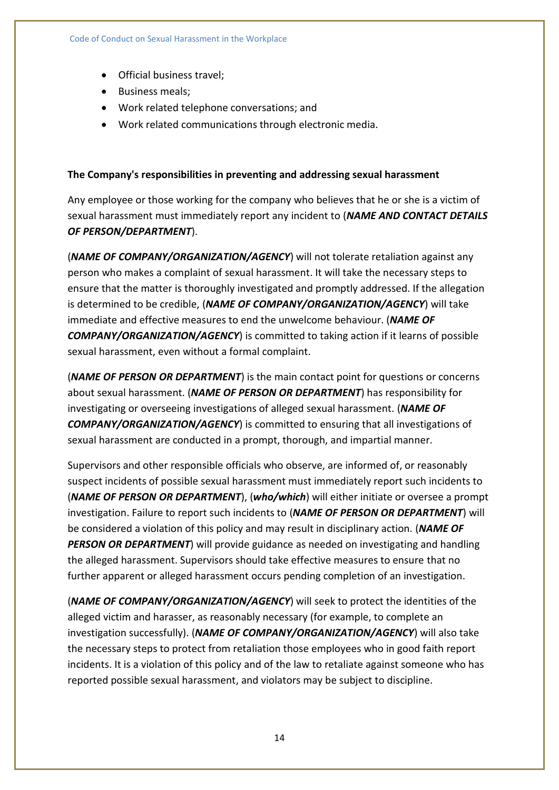- Official business travel;
- Business meals:
- Work related telephone conversations; and
- Work related communications through electronic media.

#### **The Company's responsibilities in preventing and addressing sexual harassment**

Any employee or those working for the company who believes that he or she is a victim of sexual harassment must immediately report any incident to (*NAME AND CONTACT DETAILS OF PERSON/DEPARTMENT*).

(*NAME OF COMPANY/ORGANIZATION/AGENCY*) will not tolerate retaliation against any person who makes a complaint of sexual harassment. It will take the necessary steps to ensure that the matter is thoroughly investigated and promptly addressed. If the allegation is determined to be credible, (*NAME OF COMPANY/ORGANIZATION/AGENCY*) will take immediate and effective measures to end the unwelcome behaviour. (*NAME OF COMPANY/ORGANIZATION/AGENCY*) is committed to taking action if it learns of possible sexual harassment, even without a formal complaint.

(*NAME OF PERSON OR DEPARTMENT*) is the main contact point for questions or concerns about sexual harassment. (*NAME OF PERSON OR DEPARTMENT*) has responsibility for investigating or overseeing investigations of alleged sexual harassment. (*NAME OF COMPANY/ORGANIZATION/AGENCY*) is committed to ensuring that all investigations of sexual harassment are conducted in a prompt, thorough, and impartial manner.

Supervisors and other responsible officials who observe, are informed of, or reasonably suspect incidents of possible sexual harassment must immediately report such incidents to (*NAME OF PERSON OR DEPARTMENT*), (*who/which*) will either initiate or oversee a prompt investigation. Failure to report such incidents to (*NAME OF PERSON OR DEPARTMENT*) will be considered a violation of this policy and may result in disciplinary action. (*NAME OF PERSON OR DEPARTMENT*) will provide guidance as needed on investigating and handling the alleged harassment. Supervisors should take effective measures to ensure that no further apparent or alleged harassment occurs pending completion of an investigation.

(*NAME OF COMPANY/ORGANIZATION/AGENCY*) will seek to protect the identities of the alleged victim and harasser, as reasonably necessary (for example, to complete an investigation successfully). (*NAME OF COMPANY/ORGANIZATION/AGENCY*) will also take the necessary steps to protect from retaliation those employees who in good faith report incidents. It is a violation of this policy and of the law to retaliate against someone who has reported possible sexual harassment, and violators may be subject to discipline.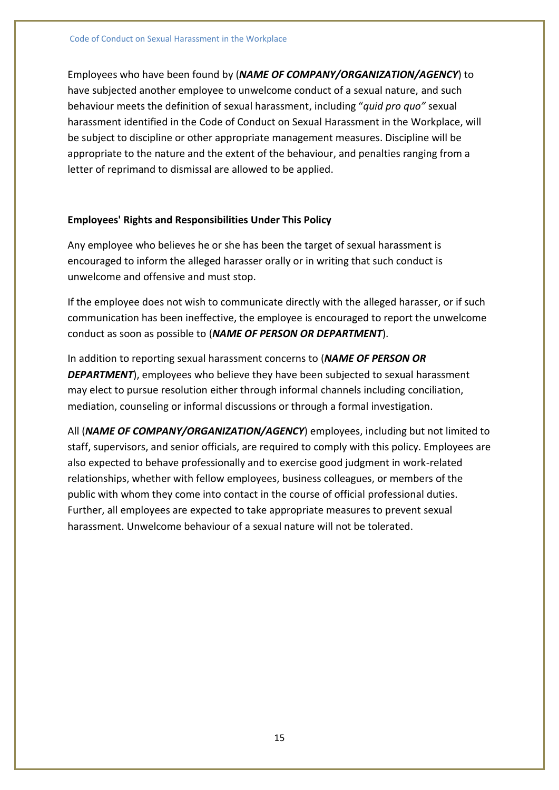Employees who have been found by (*NAME OF COMPANY/ORGANIZATION/AGENCY*) to have subjected another employee to unwelcome conduct of a sexual nature, and such behaviour meets the definition of sexual harassment, including "*quid pro quo"* sexual harassment identified in the Code of Conduct on Sexual Harassment in the Workplace, will be subject to discipline or other appropriate management measures. Discipline will be appropriate to the nature and the extent of the behaviour, and penalties ranging from a letter of reprimand to dismissal are allowed to be applied.

#### **Employees' Rights and Responsibilities Under This Policy**

Any employee who believes he or she has been the target of sexual harassment is encouraged to inform the alleged harasser orally or in writing that such conduct is unwelcome and offensive and must stop.

If the employee does not wish to communicate directly with the alleged harasser, or if such communication has been ineffective, the employee is encouraged to report the unwelcome conduct as soon as possible to (*NAME OF PERSON OR DEPARTMENT*).

In addition to reporting sexual harassment concerns to (*NAME OF PERSON OR DEPARTMENT*), employees who believe they have been subjected to sexual harassment may elect to pursue resolution either through informal channels including conciliation, mediation, counseling or informal discussions or through a formal investigation.

All (*NAME OF COMPANY/ORGANIZATION/AGENCY*) employees, including but not limited to staff, supervisors, and senior officials, are required to comply with this policy. Employees are also expected to behave professionally and to exercise good judgment in work-related relationships, whether with fellow employees, business colleagues, or members of the public with whom they come into contact in the course of official professional duties. Further, all employees are expected to take appropriate measures to prevent sexual harassment. Unwelcome behaviour of a sexual nature will not be tolerated.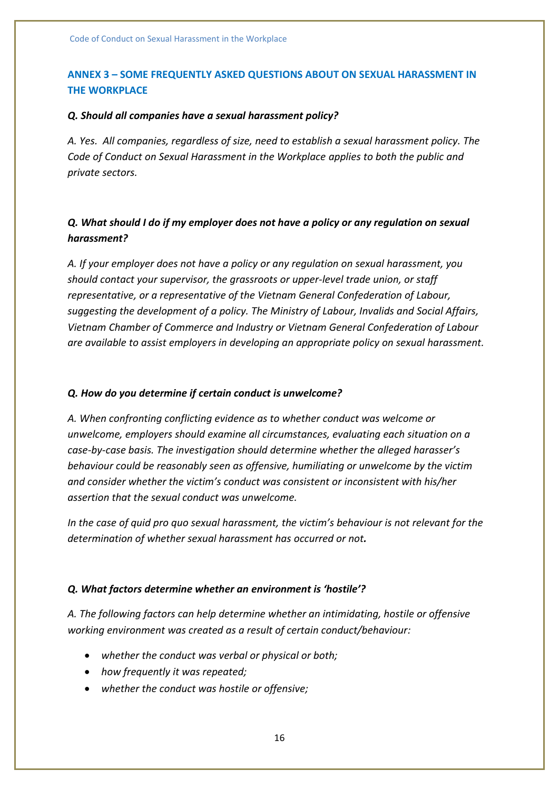#### **ANNEX 3 – SOME FREQUENTLY ASKED QUESTIONS ABOUT ON SEXUAL HARASSMENT IN THE WORKPLACE**

#### *Q. Should all companies have a sexual harassment policy?*

*A. Yes. All companies, regardless of size, need to establish a sexual harassment policy. The Code of Conduct on Sexual Harassment in the Workplace applies to both the public and private sectors.*

#### *Q. What should I do if my employer does not have a policy or any regulation on sexual harassment?*

*A. If your employer does not have a policy or any regulation on sexual harassment, you should contact your supervisor, the grassroots or upper-level trade union, or staff representative, or a representative of the Vietnam General Confederation of Labour, suggesting the development of a policy. The Ministry of Labour, Invalids and Social Affairs, Vietnam Chamber of Commerce and Industry or Vietnam General Confederation of Labour are available to assist employers in developing an appropriate policy on sexual harassment.*

#### *Q. How do you determine if certain conduct is unwelcome?*

*A. When confronting conflicting evidence as to whether conduct was welcome or unwelcome, employers should examine all circumstances, evaluating each situation on a case-by-case basis. The investigation should determine whether the alleged harasser's behaviour could be reasonably seen as offensive, humiliating or unwelcome by the victim and consider whether the victim's conduct was consistent or inconsistent with his/her assertion that the sexual conduct was unwelcome.*

*In the case of quid pro quo sexual harassment, the victim's behaviour is not relevant for the determination of whether sexual harassment has occurred or not.*

#### *Q. What factors determine whether an environment is 'hostile'?*

*A. The following factors can help determine whether an intimidating, hostile or offensive working environment was created as a result of certain conduct/behaviour:*

- *whether the conduct was verbal or physical or both;*
- *how frequently it was repeated;*
- *whether the conduct was hostile or offensive;*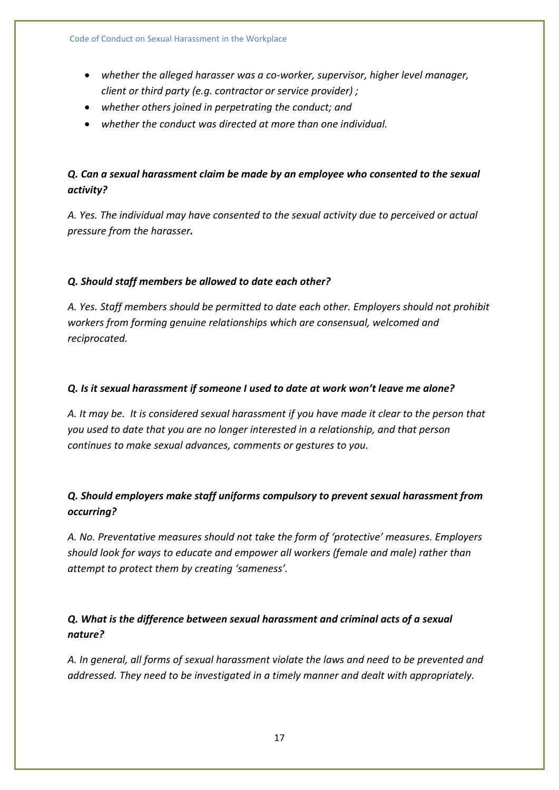- *whether the alleged harasser was a co-worker, supervisor, higher level manager, client or third party (e.g. contractor or service provider) ;*
- *whether others joined in perpetrating the conduct; and*
- *whether the conduct was directed at more than one individual.*

#### *Q. Can a sexual harassment claim be made by an employee who consented to the sexual activity?*

*A. Yes. The individual may have consented to the sexual activity due to perceived or actual pressure from the harasser.*

#### *Q. Should staff members be allowed to date each other?*

*A. Yes. Staff members should be permitted to date each other. Employers should not prohibit workers from forming genuine relationships which are consensual, welcomed and reciprocated.*

#### *Q. Is it sexual harassment if someone I used to date at work won't leave me alone?*

*A. It may be. It is considered sexual harassment if you have made it clear to the person that you used to date that you are no longer interested in a relationship, and that person continues to make sexual advances, comments or gestures to you.*

### *Q. Should employers make staff uniforms compulsory to prevent sexual harassment from occurring?*

*A. No. Preventative measures should not take the form of 'protective' measures. Employers should look for ways to educate and empower all workers (female and male) rather than attempt to protect them by creating 'sameness'.*

#### *Q. What is the difference between sexual harassment and criminal acts of a sexual nature?*

*A. In general, all forms of sexual harassment violate the laws and need to be prevented and addressed. They need to be investigated in a timely manner and dealt with appropriately.*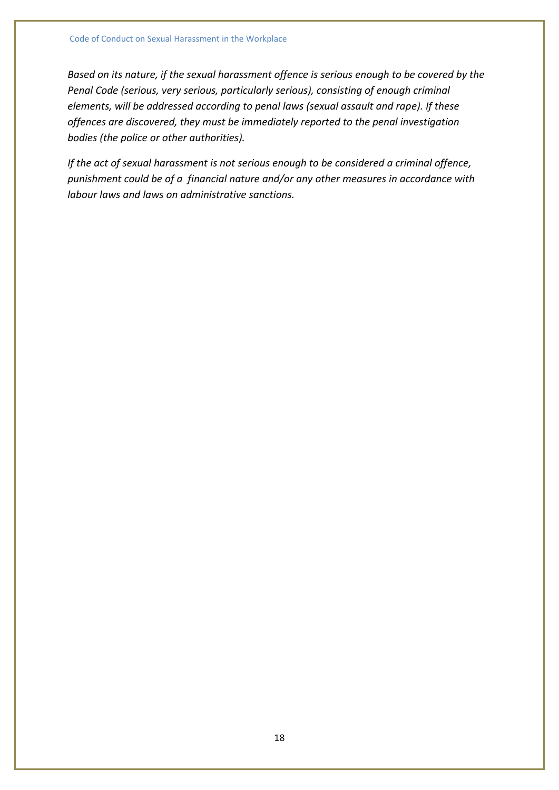*Based on its nature, if the sexual harassment offence is serious enough to be covered by the Penal Code (serious, very serious, particularly serious), consisting of enough criminal elements, will be addressed according to penal laws (sexual assault and rape). If these offences are discovered, they must be immediately reported to the penal investigation bodies (the police or other authorities).* 

*If the act of sexual harassment is not serious enough to be considered a criminal offence, punishment could be of a financial nature and/or any other measures in accordance with labour laws and laws on administrative sanctions.*